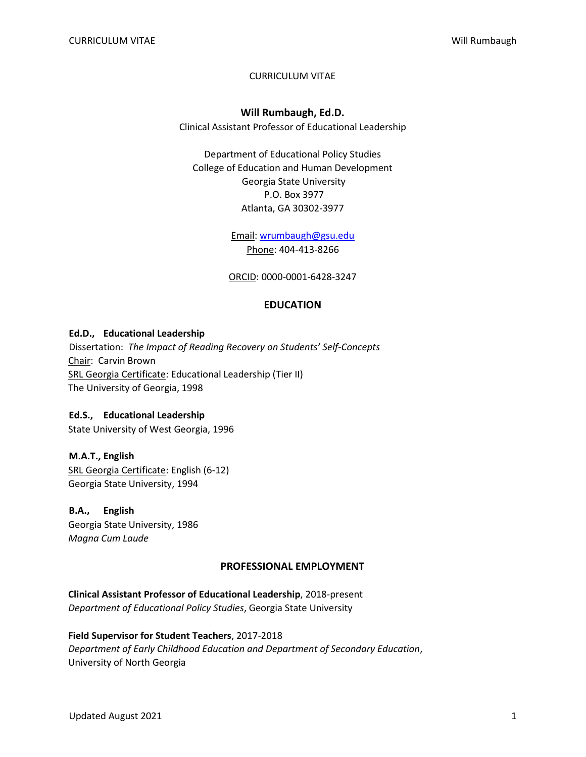### CURRICULUM VITAE

### **Will Rumbaugh, Ed.D.**

Clinical Assistant Professor of Educational Leadership

Department of Educational Policy Studies College of Education and Human Development Georgia State University P.O. Box 3977 Atlanta, GA 30302-3977

> Email: wrumbaugh@gsu.edu Phone: 404-413-8266

ORCID: 0000-0001-6428-3247

### **EDUCATION**

#### **Ed.D., Educational Leadership**

Dissertation: *The Impact of Reading Recovery on Students' Self-Concepts* Chair: Carvin Brown SRL Georgia Certificate: Educational Leadership (Tier II) The University of Georgia, 1998

### **Ed.S., Educational Leadership**

State University of West Georgia, 1996

# **M.A.T., English** SRL Georgia Certificate: English (6-12)

Georgia State University, 1994

# **B.A., English**

Georgia State University, 1986 *Magna Cum Laude*

### **PROFESSIONAL EMPLOYMENT**

**Clinical Assistant Professor of Educational Leadership**, 2018-present *Department of Educational Policy Studies*, Georgia State University

### **Field Supervisor for Student Teachers**, 2017-2018 *Department of Early Childhood Education and Department of Secondary Education*, University of North Georgia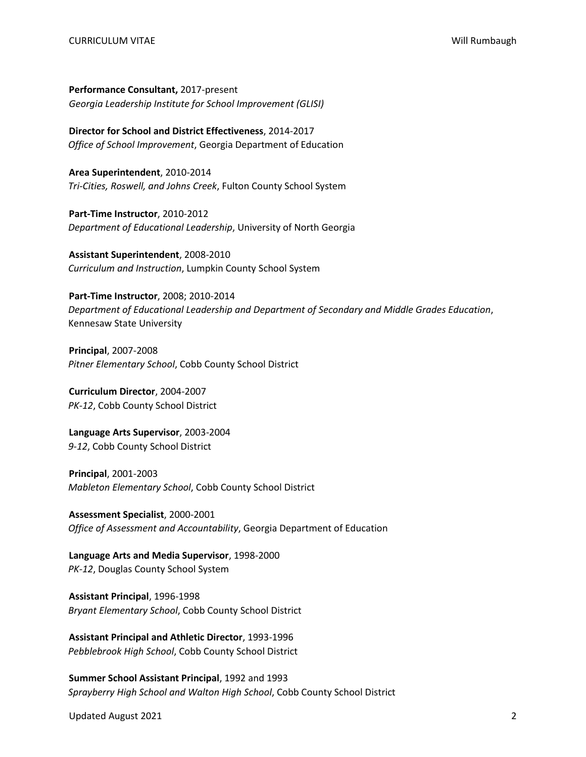**Performance Consultant,** 2017-present *Georgia Leadership Institute for School Improvement (GLISI)*

**Director for School and District Effectiveness**, 2014-2017 *Office of School Improvement*, Georgia Department of Education

**Area Superintendent**, 2010-2014 *Tri-Cities, Roswell, and Johns Creek*, Fulton County School System

**Part-Time Instructor**, 2010-2012 *Department of Educational Leadership*, University of North Georgia

**Assistant Superintendent**, 2008-2010 *Curriculum and Instruction*, Lumpkin County School System

**Part-Time Instructor**, 2008; 2010-2014 *Department of Educational Leadership and Department of Secondary and Middle Grades Education*, Kennesaw State University

**Principal**, 2007-2008 *Pitner Elementary School*, Cobb County School District

**Curriculum Director**, 2004-2007 *PK-12*, Cobb County School District

**Language Arts Supervisor**, 2003-2004 *9-12*, Cobb County School District

**Principal**, 2001-2003 *Mableton Elementary School*, Cobb County School District

**Assessment Specialist**, 2000-2001 *Office of Assessment and Accountability*, Georgia Department of Education

**Language Arts and Media Supervisor**, 1998-2000 *PK-12*, Douglas County School System

**Assistant Principal**, 1996-1998 *Bryant Elementary School*, Cobb County School District

**Assistant Principal and Athletic Director**, 1993-1996 *Pebblebrook High School*, Cobb County School District

**Summer School Assistant Principal**, 1992 and 1993 *Sprayberry High School and Walton High School*, Cobb County School District

Updated August 2021 2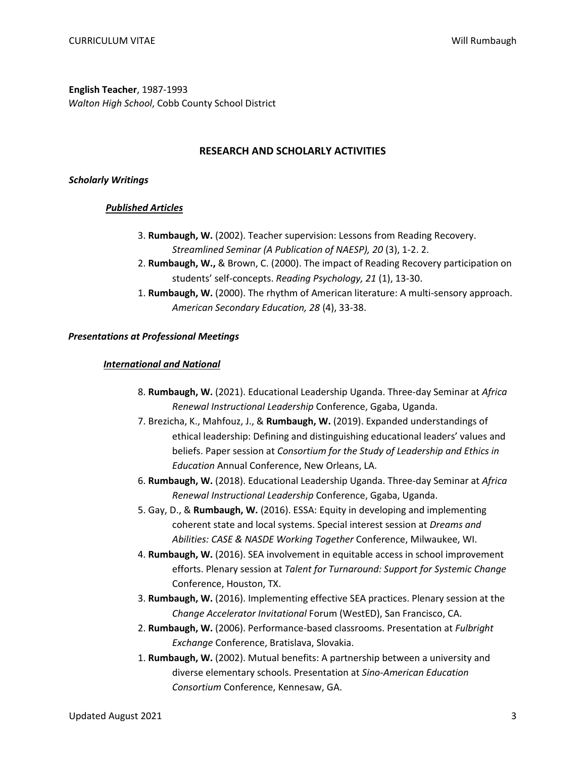**English Teacher**, 1987-1993 *Walton High School*, Cobb County School District

#### **RESEARCH AND SCHOLARLY ACTIVITIES**

#### *Scholarly Writings*

#### *Published Articles*

- 3. **Rumbaugh, W.** (2002). Teacher supervision: Lessons from Reading Recovery. *Streamlined Seminar (A Publication of NAESP), 20* (3), 1-2. 2.
- 2. **Rumbaugh, W.,** & Brown, C. (2000). The impact of Reading Recovery participation on students' self-concepts. *Reading Psychology, 21* (1), 13-30.
- 1. **Rumbaugh, W.** (2000). The rhythm of American literature: A multi-sensory approach. *American Secondary Education, 28* (4), 33-38.

#### *Presentations at Professional Meetings*

#### *International and National*

- 8. **Rumbaugh, W.** (2021). Educational Leadership Uganda. Three-day Seminar at *Africa Renewal Instructional Leadership* Conference, Ggaba, Uganda.
- 7. Brezicha, K., Mahfouz, J., & **Rumbaugh, W.** (2019). Expanded understandings of ethical leadership: Defining and distinguishing educational leaders' values and beliefs. Paper session at *Consortium for the Study of Leadership and Ethics in Education* Annual Conference, New Orleans, LA.
- 6. **Rumbaugh, W.** (2018). Educational Leadership Uganda. Three-day Seminar at *Africa Renewal Instructional Leadership* Conference, Ggaba, Uganda.
- 5. Gay, D., & **Rumbaugh, W.** (2016). ESSA: Equity in developing and implementing coherent state and local systems. Special interest session at *Dreams and Abilities: CASE & NASDE Working Together* Conference, Milwaukee, WI.
- 4. **Rumbaugh, W.** (2016). SEA involvement in equitable access in school improvement efforts. Plenary session at *Talent for Turnaround: Support for Systemic Change* Conference, Houston, TX.
- 3. **Rumbaugh, W.** (2016). Implementing effective SEA practices. Plenary session at the *Change Accelerator Invitational* Forum (WestED), San Francisco, CA.
- 2. **Rumbaugh, W.** (2006). Performance-based classrooms. Presentation at *Fulbright Exchange* Conference, Bratislava, Slovakia.
- 1. **Rumbaugh, W.** (2002). Mutual benefits: A partnership between a university and diverse elementary schools. Presentation at *Sino-American Education Consortium* Conference, Kennesaw, GA.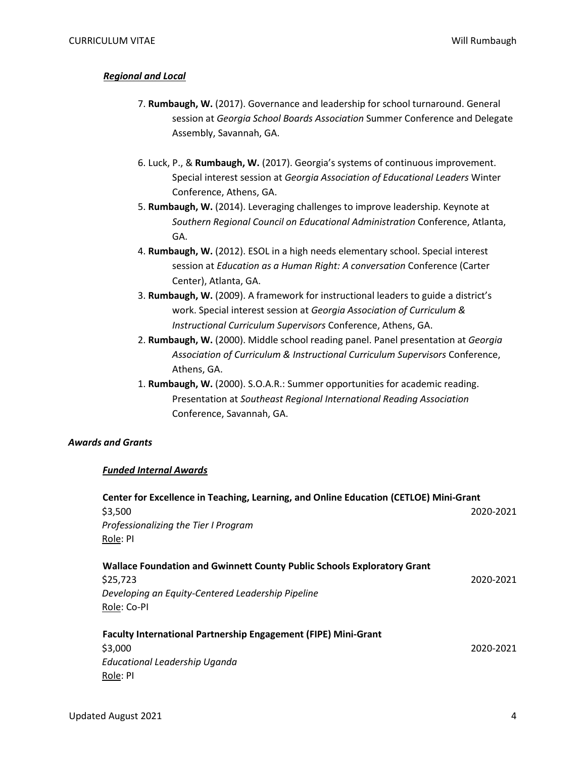### *Regional and Local*

- 7. **Rumbaugh, W.** (2017). Governance and leadership for school turnaround. General session at *Georgia School Boards Association* Summer Conference and Delegate Assembly, Savannah, GA.
- 6. Luck, P., & **Rumbaugh, W.** (2017). Georgia's systems of continuous improvement. Special interest session at *Georgia Association of Educational Leaders* Winter Conference, Athens, GA.
- 5. **Rumbaugh, W.** (2014). Leveraging challenges to improve leadership. Keynote at *Southern Regional Council on Educational Administration* Conference, Atlanta, GA.
- 4. **Rumbaugh, W.** (2012). ESOL in a high needs elementary school. Special interest session at *Education as a Human Right: A conversation* Conference (Carter Center), Atlanta, GA.
- 3. **Rumbaugh, W.** (2009). A framework for instructional leaders to guide a district's work. Special interest session at *Georgia Association of Curriculum & Instructional Curriculum Supervisors* Conference, Athens, GA.
- 2. **Rumbaugh, W.** (2000). Middle school reading panel. Panel presentation at *Georgia Association of Curriculum & Instructional Curriculum Supervisors* Conference, Athens, GA.
- 1. **Rumbaugh, W.** (2000). S.O.A.R.: Summer opportunities for academic reading. Presentation at *Southeast Regional International Reading Association* Conference, Savannah, GA.

#### *Awards and Grants*

#### *Funded Internal Awards*

| Center for Excellence in Teaching, Learning, and Online Education (CETLOE) Mini-Grant |           |
|---------------------------------------------------------------------------------------|-----------|
| \$3,500                                                                               | 2020-2021 |
| Professionalizing the Tier I Program                                                  |           |
| Role: PI                                                                              |           |
| Wallace Foundation and Gwinnett County Public Schools Exploratory Grant               |           |
| \$25,723                                                                              | 2020-2021 |
| Developing an Equity-Centered Leadership Pipeline                                     |           |
| Role: Co-PI                                                                           |           |
| <b>Faculty International Partnership Engagement (FIPE) Mini-Grant</b>                 |           |
| \$3,000                                                                               | 2020-2021 |
| Educational Leadership Uganda                                                         |           |
| Role: PI                                                                              |           |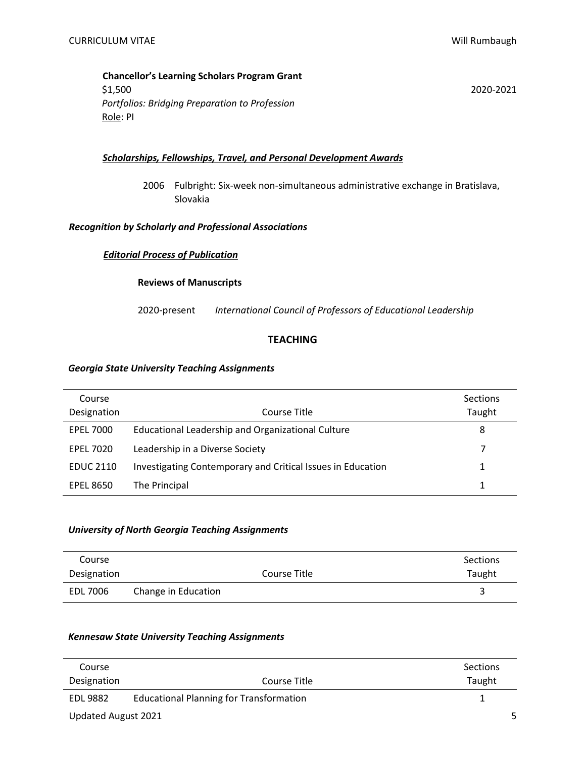### **Chancellor's Learning Scholars Program Grant** \$1,500 2020-2021 *Portfolios: Bridging Preparation to Profession* Role: PI

### *Scholarships, Fellowships, Travel, and Personal Development Awards*

2006 Fulbright: Six-week non-simultaneous administrative exchange in Bratislava, Slovakia

#### *Recognition by Scholarly and Professional Associations*

#### *Editorial Process of Publication*

#### **Reviews of Manuscripts**

2020-present *International Council of Professors of Educational Leadership*

### **TEACHING**

#### *Georgia State University Teaching Assignments*

| Course<br>Designation | Course Title                                                | Sections<br>Taught |
|-----------------------|-------------------------------------------------------------|--------------------|
| <b>EPEL 7000</b>      | Educational Leadership and Organizational Culture           | 8                  |
| <b>EPEL 7020</b>      | Leadership in a Diverse Society                             |                    |
| <b>EDUC 2110</b>      | Investigating Contemporary and Critical Issues in Education |                    |
| <b>EPEL 8650</b>      | The Principal                                               |                    |

#### *University of North Georgia Teaching Assignments*

| Course      |                     |              | Sections |
|-------------|---------------------|--------------|----------|
| Designation |                     | Course Title | Taught   |
| EDL 7006    | Change in Education |              |          |

### *Kennesaw State University Teaching Assignments*

| Course              |                                                | Sections |
|---------------------|------------------------------------------------|----------|
| Designation         | Course Title                                   | Taught   |
| EDL 9882            | <b>Educational Planning for Transformation</b> |          |
| Updated August 2021 |                                                |          |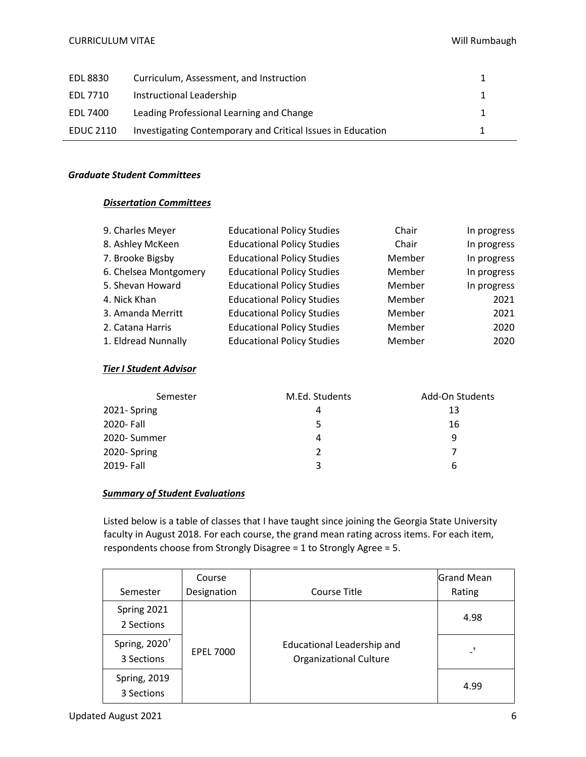| EDL 8830         | Curriculum, Assessment, and Instruction                     |  |
|------------------|-------------------------------------------------------------|--|
| EDL 7710         | Instructional Leadership                                    |  |
| EDL 7400         | Leading Professional Learning and Change                    |  |
| <b>EDUC 2110</b> | Investigating Contemporary and Critical Issues in Education |  |

### *Graduate Student Committees*

### *Dissertation Committees*

| 9. Charles Meyer      | <b>Educational Policy Studies</b> | Chair  | In progress |
|-----------------------|-----------------------------------|--------|-------------|
| 8. Ashley McKeen      | <b>Educational Policy Studies</b> | Chair  | In progress |
| 7. Brooke Bigsby      | <b>Educational Policy Studies</b> | Member | In progress |
| 6. Chelsea Montgomery | <b>Educational Policy Studies</b> | Member | In progress |
| 5. Shevan Howard      | <b>Educational Policy Studies</b> | Member | In progress |
| 4. Nick Khan          | <b>Educational Policy Studies</b> | Member | 2021        |
| 3. Amanda Merritt     | <b>Educational Policy Studies</b> | Member | 2021        |
| 2. Catana Harris      | <b>Educational Policy Studies</b> | Member | 2020        |
| 1. Eldread Nunnally   | <b>Educational Policy Studies</b> | Member | 2020        |

### *Tier I Student Advisor*

| Semester     | M.Ed. Students | Add-On Students |
|--------------|----------------|-----------------|
| 2021-Spring  | 4              | 13              |
| 2020- Fall   | 5              | 16              |
| 2020- Summer | 4              | 9               |
| 2020-Spring  | 2              |                 |
| 2019- Fall   | ર              | 6               |

### *Summary of Student Evaluations*

Listed below is a table of classes that I have taught since joining the Georgia State University faculty in August 2018. For each course, the grand mean rating across items. For each item, respondents choose from Strongly Disagree = 1 to Strongly Agree = 5.

|                                         | Course           |                                                             | <b>Grand Mean</b> |
|-----------------------------------------|------------------|-------------------------------------------------------------|-------------------|
| Semester                                | Designation      | Course Title                                                | Rating            |
| Spring 2021<br>2 Sections               |                  |                                                             | 4.98              |
| Spring, 2020 <sup>+</sup><br>3 Sections | <b>EPEL 7000</b> | Educational Leadership and<br><b>Organizational Culture</b> |                   |
| <b>Spring, 2019</b><br>3 Sections       |                  |                                                             | 4.99              |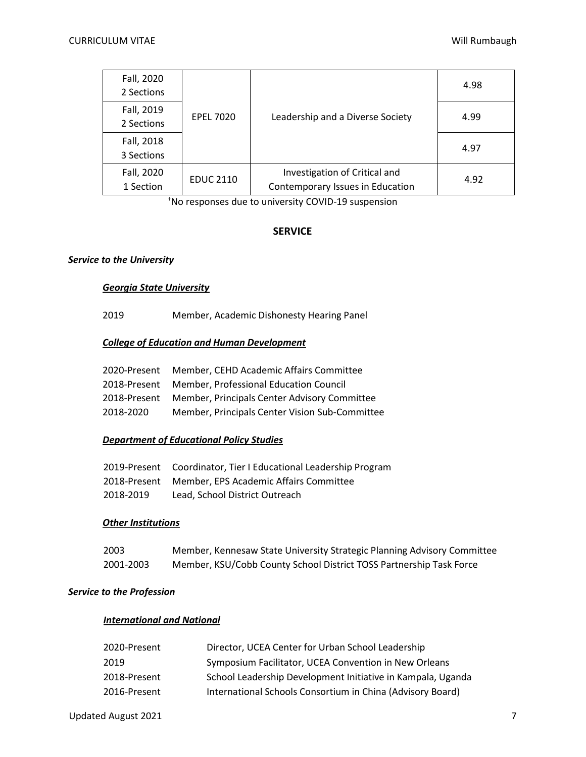| Fall, 2020<br>2 Sections |                  |                                                                   | 4.98 |
|--------------------------|------------------|-------------------------------------------------------------------|------|
| Fall, 2019<br>2 Sections | <b>EPEL 7020</b> | Leadership and a Diverse Society                                  | 4.99 |
| Fall, 2018<br>3 Sections |                  |                                                                   | 4.97 |
| Fall, 2020<br>1 Section  | <b>EDUC 2110</b> | Investigation of Critical and<br>Contemporary Issues in Education | 4.92 |

†No responses due to university COVID-19 suspension

### **SERVICE**

### *Service to the University*

#### *Georgia State University*

2019 Member, Academic Dishonesty Hearing Panel

## *College of Education and Human Development*

|           | 2020-Present Member, CEHD Academic Affairs Committee      |
|-----------|-----------------------------------------------------------|
|           | 2018-Present Member, Professional Education Council       |
|           | 2018-Present Member, Principals Center Advisory Committee |
| 2018-2020 | Member, Principals Center Vision Sub-Committee            |

### *Department of Educational Policy Studies*

|           | 2019-Present Coordinator, Tier I Educational Leadership Program |
|-----------|-----------------------------------------------------------------|
|           | 2018-Present Member, EPS Academic Affairs Committee             |
| 2018-2019 | Lead. School District Outreach                                  |

#### *Other Institutions*

| 2003      | Member, Kennesaw State University Strategic Planning Advisory Committee |
|-----------|-------------------------------------------------------------------------|
| 2001-2003 | Member, KSU/Cobb County School District TOSS Partnership Task Force     |

#### *Service to the Profession*

#### *International and National*

| 2020-Present | Director, UCEA Center for Urban School Leadership           |
|--------------|-------------------------------------------------------------|
| 2019         | Symposium Facilitator, UCEA Convention in New Orleans       |
| 2018-Present | School Leadership Development Initiative in Kampala, Uganda |
| 2016-Present | International Schools Consortium in China (Advisory Board)  |